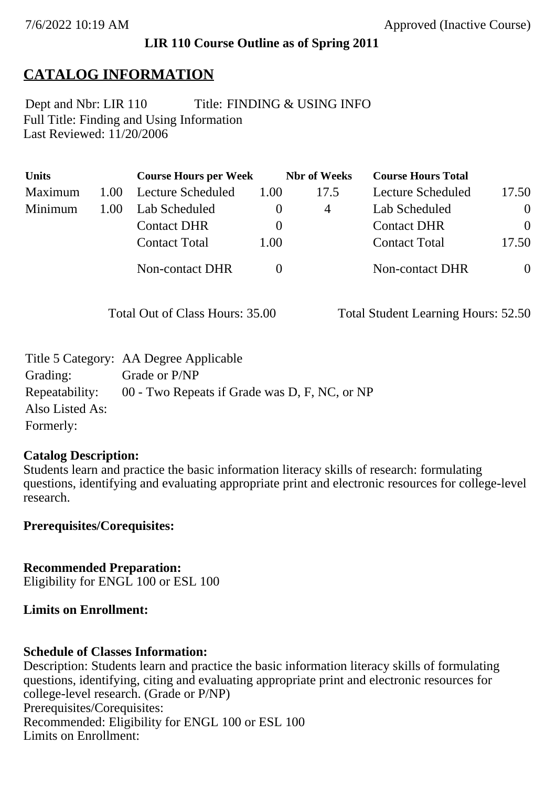## **LIR 110 Course Outline as of Spring 2011**

# **CATALOG INFORMATION**

Full Title: Finding and Using Information Last Reviewed: 11/20/2006 Dept and Nbr: LIR 110 Title: FINDING & USING INFO

| <b>Units</b> |      | <b>Course Hours per Week</b> |          | <b>Nbr</b> of Weeks | <b>Course Hours Total</b> |                |
|--------------|------|------------------------------|----------|---------------------|---------------------------|----------------|
| Maximum      | 1.00 | Lecture Scheduled            | 1.00     | 17.5                | Lecture Scheduled         | 17.50          |
| Minimum      | 1.00 | Lab Scheduled                |          | 4                   | Lab Scheduled             | $\theta$       |
|              |      | <b>Contact DHR</b>           | $\theta$ |                     | <b>Contact DHR</b>        | $\Omega$       |
|              |      | <b>Contact Total</b>         | 1.00     |                     | <b>Contact Total</b>      | 17.50          |
|              |      | Non-contact DHR              |          |                     | <b>Non-contact DHR</b>    | $\overline{0}$ |

Total Out of Class Hours: 35.00 Total Student Learning Hours: 52.50

|                 | Title 5 Category: AA Degree Applicable                       |
|-----------------|--------------------------------------------------------------|
| Grading:        | Grade or P/NP                                                |
|                 | Repeatability: 00 - Two Repeats if Grade was D, F, NC, or NP |
| Also Listed As: |                                                              |
| Formerly:       |                                                              |

### **Catalog Description:**

Students learn and practice the basic information literacy skills of research: formulating questions, identifying and evaluating appropriate print and electronic resources for college-level research.

**Prerequisites/Corequisites:**

**Recommended Preparation:** Eligibility for ENGL 100 or ESL 100

### **Limits on Enrollment:**

### **Schedule of Classes Information:**

Description: Students learn and practice the basic information literacy skills of formulating questions, identifying, citing and evaluating appropriate print and electronic resources for college-level research. (Grade or P/NP) Prerequisites/Corequisites: Recommended: Eligibility for ENGL 100 or ESL 100 Limits on Enrollment: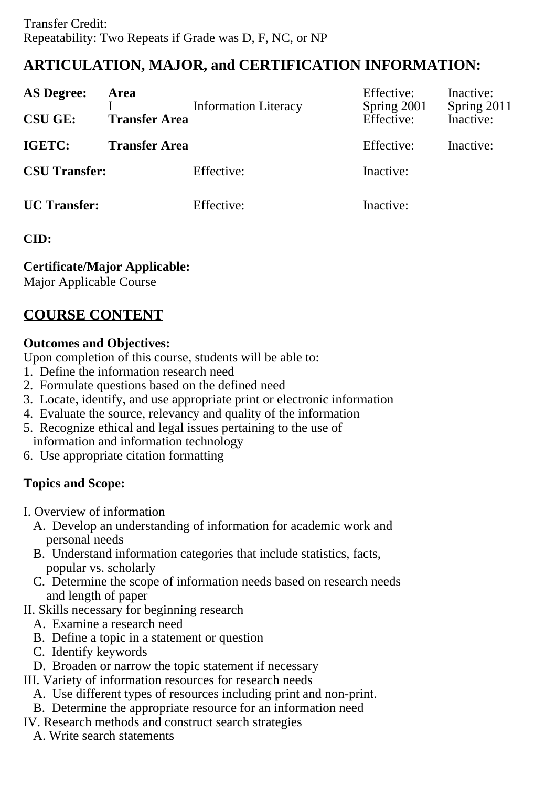# **ARTICULATION, MAJOR, and CERTIFICATION INFORMATION:**

| <b>AS Degree:</b>    | <b>Area</b>          | <b>Information Literacy</b> | Effective:<br>Spring 2001 | Inactive:<br>Spring 2011 |
|----------------------|----------------------|-----------------------------|---------------------------|--------------------------|
| <b>CSU GE:</b>       | <b>Transfer Area</b> |                             | Effective:                | Inactive:                |
| <b>IGETC:</b>        | <b>Transfer Area</b> |                             | Effective:                | Inactive:                |
| <b>CSU Transfer:</b> |                      | Effective:                  | Inactive:                 |                          |
| <b>UC</b> Transfer:  |                      | Effective:                  | Inactive:                 |                          |

# **CID:**

# **Certificate/Major Applicable:**

[Major Applicable Course](SR_ClassCheck.aspx?CourseKey=LIR110)

# **COURSE CONTENT**

# **Outcomes and Objectives:**

Upon completion of this course, students will be able to:

- 1. Define the information research need
- 2. Formulate questions based on the defined need
- 3. Locate, identify, and use appropriate print or electronic information
- 4. Evaluate the source, relevancy and quality of the information
- 5. Recognize ethical and legal issues pertaining to the use of information and information technology
- 6. Use appropriate citation formatting

# **Topics and Scope:**

- I. Overview of information
	- A. Develop an understanding of information for academic work and personal needs
	- B. Understand information categories that include statistics, facts, popular vs. scholarly
	- C. Determine the scope of information needs based on research needs and length of paper
- II. Skills necessary for beginning research
	- A. Examine a research need
	- B. Define a topic in a statement or question
	- C. Identify keywords
	- D. Broaden or narrow the topic statement if necessary
- III. Variety of information resources for research needs
	- A. Use different types of resources including print and non-print.
	- B. Determine the appropriate resource for an information need
- IV. Research methods and construct search strategies
	- A. Write search statements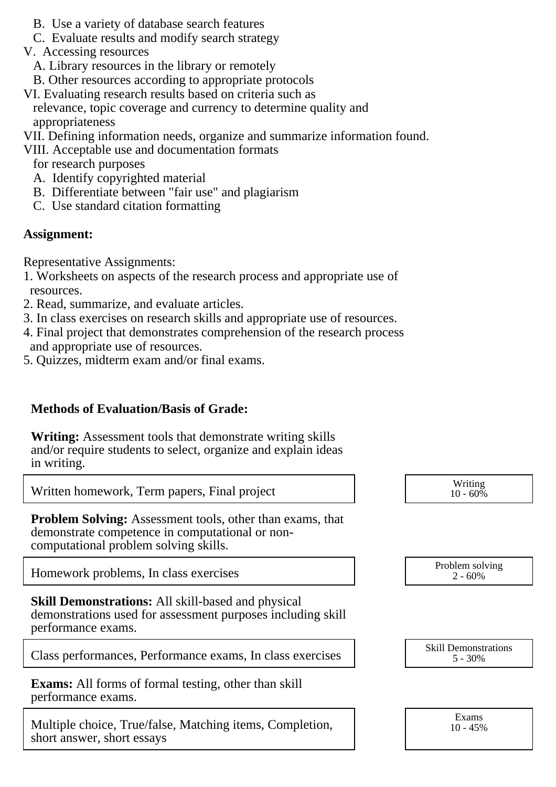- B. Use a variety of database search features
- C. Evaluate results and modify search strategy
- V. Accessing resources
	- A. Library resources in the library or remotely
- B. Other resources according to appropriate protocols
- VI. Evaluating research results based on criteria such as relevance, topic coverage and currency to determine quality and appropriateness
- VII. Defining information needs, organize and summarize information found.
- VIII. Acceptable use and documentation formats

for research purposes

- A. Identify copyrighted material
- B. Differentiate between "fair use" and plagiarism
- C. Use standard citation formatting

#### **Assignment:**

Representative Assignments:

- 1. Worksheets on aspects of the research process and appropriate use of resources.
- 2. Read, summarize, and evaluate articles.
- 3. In class exercises on research skills and appropriate use of resources.
- 4. Final project that demonstrates comprehension of the research process and appropriate use of resources.
- 5. Quizzes, midterm exam and/or final exams.

### **Methods of Evaluation/Basis of Grade:**

**Writing:** Assessment tools that demonstrate writing skills and/or require students to select, organize and explain ideas in writing.

Written homework, Term papers, Final project Writing

**Problem Solving:** Assessment tools, other than exams, that demonstrate competence in computational or noncomputational problem solving skills.

Homework problems, In class exercises Problem solving  $2.60\%$ 

**Skill Demonstrations:** All skill-based and physical demonstrations used for assessment purposes including skill performance exams.

Class performances, Performance exams, In class exercises  $\begin{bmatrix} S_{1,1} & S_{1,2} & S_{1,3} \end{bmatrix}$  Skill Demonstrations

**Exams:** All forms of formal testing, other than skill performance exams.

Multiple choice, True/false, Matching items, Completion, short answer, short essays

 $10 - 60\%$ 

 $2 - 60%$ 

5 - 30%

Exams 10 - 45%